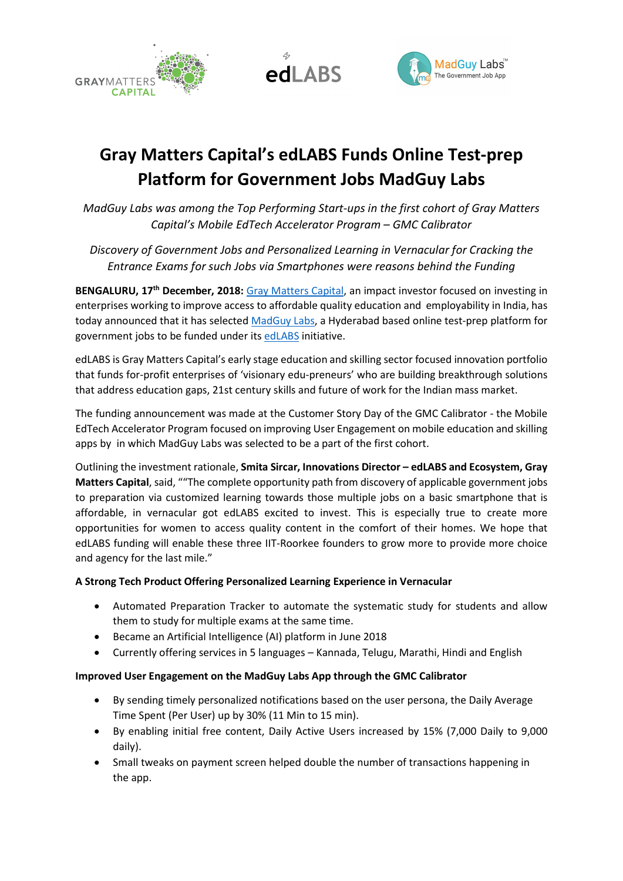





# Gray Matters Capital's edLABS Funds Online Test-prep Platform for Government Jobs MadGuy Labs

MadGuy Labs was among the Top Performing Start-ups in the first cohort of Gray Matters Capital's Mobile EdTech Accelerator Program – GMC Calibrator

Discovery of Government Jobs and Personalized Learning in Vernacular for Cracking the Entrance Exams for such Jobs via Smartphones were reasons behind the Funding

BENGALURU, 17<sup>th</sup> December, 2018: Gray Matters Capital, an impact investor focused on investing in enterprises working to improve access to affordable quality education and employability in India, has today announced that it has selected MadGuy Labs, a Hyderabad based online test-prep platform for government jobs to be funded under its edLABS initiative.

edLABS is Gray Matters Capital's early stage education and skilling sector focused innovation portfolio that funds for-profit enterprises of 'visionary edu-preneurs' who are building breakthrough solutions that address education gaps, 21st century skills and future of work for the Indian mass market.

The funding announcement was made at the Customer Story Day of the GMC Calibrator - the Mobile EdTech Accelerator Program focused on improving User Engagement on mobile education and skilling apps by in which MadGuy Labs was selected to be a part of the first cohort.

Outlining the investment rationale, Smita Sircar, Innovations Director – edLABS and Ecosystem, Gray Matters Capital, said, ""The complete opportunity path from discovery of applicable government jobs to preparation via customized learning towards those multiple jobs on a basic smartphone that is affordable, in vernacular got edLABS excited to invest. This is especially true to create more opportunities for women to access quality content in the comfort of their homes. We hope that edLABS funding will enable these three IIT-Roorkee founders to grow more to provide more choice and agency for the last mile."

### A Strong Tech Product Offering Personalized Learning Experience in Vernacular

- Automated Preparation Tracker to automate the systematic study for students and allow them to study for multiple exams at the same time.
- Became an Artificial Intelligence (AI) platform in June 2018
- Currently offering services in 5 languages Kannada, Telugu, Marathi, Hindi and English

### Improved User Engagement on the MadGuy Labs App through the GMC Calibrator

- By sending timely personalized notifications based on the user persona, the Daily Average Time Spent (Per User) up by 30% (11 Min to 15 min).
- By enabling initial free content, Daily Active Users increased by 15% (7,000 Daily to 9,000 daily).
- Small tweaks on payment screen helped double the number of transactions happening in the app.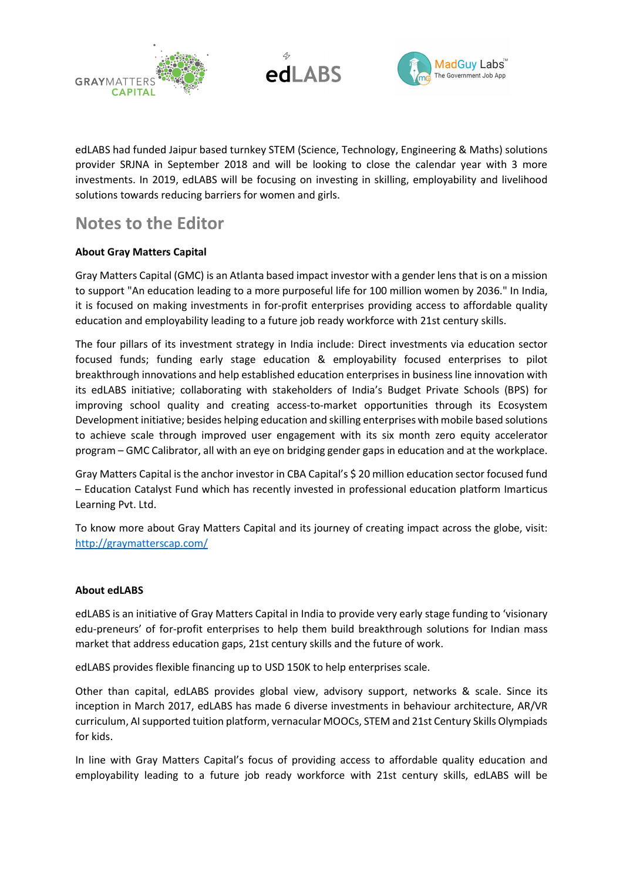





edLABS had funded Jaipur based turnkey STEM (Science, Technology, Engineering & Maths) solutions provider SRJNA in September 2018 and will be looking to close the calendar year with 3 more investments. In 2019, edLABS will be focusing on investing in skilling, employability and livelihood solutions towards reducing barriers for women and girls.

## Notes to the Editor

### About Gray Matters Capital

Gray Matters Capital (GMC) is an Atlanta based impact investor with a gender lens that is on a mission to support "An education leading to a more purposeful life for 100 million women by 2036." In India, it is focused on making investments in for-profit enterprises providing access to affordable quality education and employability leading to a future job ready workforce with 21st century skills.

The four pillars of its investment strategy in India include: Direct investments via education sector focused funds; funding early stage education & employability focused enterprises to pilot breakthrough innovations and help established education enterprises in business line innovation with its edLABS initiative; collaborating with stakeholders of India's Budget Private Schools (BPS) for improving school quality and creating access-to-market opportunities through its Ecosystem Development initiative; besides helping education and skilling enterprises with mobile based solutions to achieve scale through improved user engagement with its six month zero equity accelerator program – GMC Calibrator, all with an eye on bridging gender gaps in education and at the workplace.

Gray Matters Capital is the anchor investor in CBA Capital's \$ 20 million education sector focused fund – Education Catalyst Fund which has recently invested in professional education platform Imarticus Learning Pvt. Ltd.

To know more about Gray Matters Capital and its journey of creating impact across the globe, visit: http://graymatterscap.com/

### About edLABS

edLABS is an initiative of Gray Matters Capital in India to provide very early stage funding to 'visionary edu-preneurs' of for-profit enterprises to help them build breakthrough solutions for Indian mass market that address education gaps, 21st century skills and the future of work.

edLABS provides flexible financing up to USD 150K to help enterprises scale.

Other than capital, edLABS provides global view, advisory support, networks & scale. Since its inception in March 2017, edLABS has made 6 diverse investments in behaviour architecture, AR/VR curriculum, AI supported tuition platform, vernacular MOOCs, STEM and 21st Century Skills Olympiads for kids.

In line with Gray Matters Capital's focus of providing access to affordable quality education and employability leading to a future job ready workforce with 21st century skills, edLABS will be